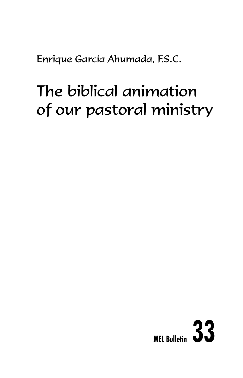Enrique García Ahumada, F.S.C.

# The biblical animation of our pastoral ministry

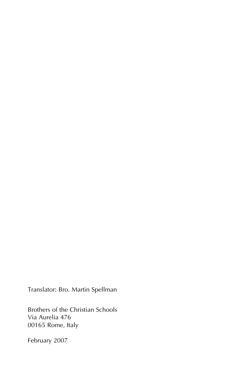Translator: Bro. Martin Spellman

Brothers of the Christian Schools Via Aurelia 476 00165 Rome, Italy

February 2007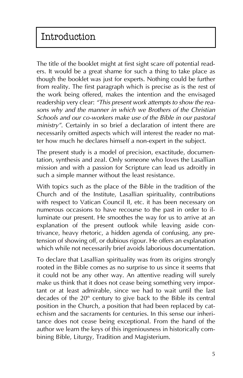The title of the booklet might at first sight scare off potential readers. It would be a great shame for such a thing to take place as though the booklet was just for experts. Nothing could be further from reality. The first paragraph which is precise as is the rest of the work being offered, makes the intention and the envisaged readership very clear: *"This present work attempts to show the reasons why and the manner in which we Brothers of the Christian Schools and our co-workers make use of the Bible in our pastoral ministry"*. Certainly in so brief a declaration of intent there are necessarily omitted aspects which will interest the reader no matter how much he declares himself a non-expert in the subject.

The present study is a model of precision, exactitude, documentation, synthesis and zeal. Only someone who loves the Lasallian mission and with a passion for Scripture can lead us adroitly in such a simple manner without the least resistance.

With topics such as the place of the Bible in the tradition of the Church and of the Institute, Lasallian spirituality, contributions with respect to Vatican Council II, etc. it has been necessary on numerous occasions to have recourse to the past in order to illuminate our present. He smoothes the way for us to arrive at an explanation of the present outlook while leaving aside contrivance, heavy rhetoric, a hidden agenda of confusing, any pretension of showing off, or dubious rigour. He offers an explanation which while not necessarily brief avoids laborious documentation.

To declare that Lasallian spirituality was from its origins strongly rooted in the Bible comes as no surprise to us since it seems that it could not be any other way. An attentive reading will surely make us think that it does not cease being something very important or at least admirable, since we had to wait until the last decades of the 20<sup>th</sup> century to give back to the Bible its central position in the Church, a position that had been replaced by catechism and the sacraments for centuries. In this sense our inheritance does not cease being exceptional. From the hand of the author we learn the keys of this ingeniousness in historically combining Bible, Liturgy, Tradition and Magisterium.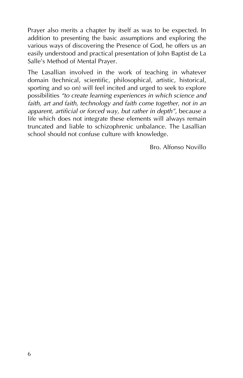Prayer also merits a chapter by itself as was to be expected. In addition to presenting the basic assumptions and exploring the various ways of discovering the Presence of God, he offers us an easily understood and practical presentation of John Baptist de La Salle's Method of Mental Prayer.

The Lasallian involved in the work of teaching in whatever domain (technical, scientific, philosophical, artistic, historical, sporting and so on) will feel incited and urged to seek to explore possibilities *"to create learning experiences in which science and faith, art and faith, technology and faith come together, not in an apparent, artificial or forced way, but rather in depth"*, because a life which does not integrate these elements will always remain truncated and liable to schizophrenic unbalance. The Lasallian school should not confuse culture with knowledge.

Bro. Alfonso Novillo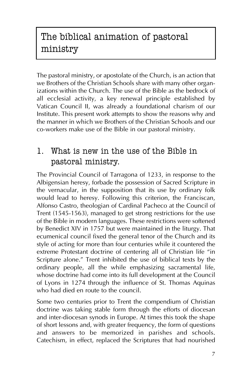## The biblical animation of pastoral ministry

The pastoral ministry, or apostolate of the Church, is an action that we Brothers of the Christian Schools share with many other organizations within the Church. The use of the Bible as the bedrock of all ecclesial activity, a key renewal principle established by Vatican Council II, was already a foundational charism of our Institute. This present work attempts to show the reasons why and the manner in which we Brothers of the Christian Schools and our co-workers make use of the Bible in our pastoral ministry.

#### 1. What is new in the use of the Bible in pastoral ministry.

The Provincial Council of Tarragona of 1233, in response to the Albigensian heresy, forbade the possession of Sacred Scripture in the vernacular, in the supposition that its use by ordinary folk would lead to heresy. Following this criterion, the Franciscan, Alfonso Castro, theologian of Cardinal Pacheco at the Council of Trent (1545-1563), managed to get strong restrictions for the use of the Bible in modern languages. These restrictions were softened by Benedict XIV in 1757 but were maintained in the liturgy. That ecumenical council fixed the general tenor of the Church and its style of acting for more than four centuries while it countered the extreme Protestant doctrine of centering all of Christian life "in Scripture alone." Trent inhibited the use of biblical texts by the ordinary people, all the while emphasizing sacramental life, whose doctrine had come into its full development at the Council of Lyons in 1274 through the influence of St. Thomas Aquinas who had died en route to the council.

Some two centuries prior to Trent the compendium of Christian doctrine was taking stable form through the efforts of diocesan and inter-diocesan synods in Europe. At times this took the shape of short lessons and, with greater frequency, the form of questions and answers to be memorized in parishes and schools. Catechism, in effect, replaced the Scriptures that had nourished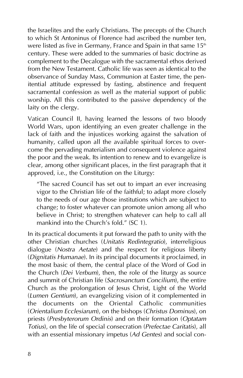the Israelites and the early Christians. The precepts of the Church to which St Antoninus of Florence had ascribed the number ten, were listed as five in Germany, France and Spain in that same  $15<sup>th</sup>$ century. These were added to the summaries of basic doctrine as complement to the Decalogue with the sacramental ethos derived from the New Testament. Catholic life was seen as identical to the observance of Sunday Mass, Communion at Easter time, the penitential attitude expressed by fasting, abstinence and frequent sacramental confession as well as the material support of public worship. All this contributed to the passive dependency of the laity on the clergy.

Vatican Council II, having learned the lessons of two bloody World Wars, upon identifying an even greater challenge in the lack of faith and the injustices working against the salvation of humanity, called upon all the available spiritual forces to overcome the pervading materialism and consequent violence against the poor and the weak. Its intention to renew and to evangelize is clear, among other significant places, in the first paragraph that it approved, i.e., the Constitution on the Liturgy:

"The sacred Council has set out to impart an ever increasing vigor to the Christian life of the faithful; to adapt more closely to the needs of our age those institutions which are subject to change; to foster whatever can promote union among all who believe in Christ; to strengthen whatever can help to call all mankind into the Church's fold."  $(SC_1)$ .

In its practical documents it put forward the path to unity with the other Christian churches (*Unitatis Redintegratio*), interreligious dialogue (*Nostra Aetate*) and the respect for religious liberty (*Dignitatis Humanae*). In its principal documents it proclaimed, in the most basic of them, the central place of the Word of God in the Church (*Dei Verbum*), then, the role of the liturgy as source and summit of Christian life (*Sacrosanctum Concilium*), the entire Church as the prolongation of Jesus Christ, Light of the World (*Lumen Gentium*), an evangelizing vision of it complemented in the documents on the Oriental Catholic communities (*Orientalium Ecclesiarum*), on the bishops (*Christus Dominus*), on priests (*Presbyterorum Ordinis*) and on their formation (*Optatam Totius*), on the life of special consecration (*Prefectae Caritatis*), all with an essential missionary impetus (*Ad Gentes*) and social con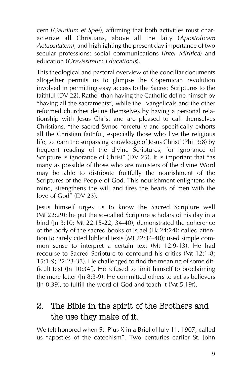cern (*Gaudium et Spes*), affirming that both activities must characterize all Christians, above all the laity (*Apostolicam Actuositatem*), and highlighting the present day importance of two secular professions: social communications (*Inter Mirifica*) and education (*Gravissimum Educationis*).

This theological and pastoral overview of the conciliar documents altogether permits us to glimpse the Copernican revolution involved in permitting easy access to the Sacred Scriptures to the faithful (DV 22). Rather than having the Catholic define himself by "having all the sacraments", while the Evangelicals and the other reformed churches define themselves by having a personal relationship with Jesus Christ and are pleased to call themselves Christians, "the sacred Synod forcefully and specifically exhorts all the Christian faithful, especially those who live the religious life, to learn the surpassing knowledge of Jesus Christ' (Phil 3:8) by frequent reading of the divine Scriptures, for ignorance of Scripture is ignorance of Christ" (DV 25). It is important that "as many as possible of those who are ministers of the divine Word may be able to distribute fruitfully the nourishment of the Scriptures of the People of God. This nourishment enlightens the mind, strengthens the will and fires the hearts of men with the love of God" (DV 23).

Jesus himself urges us to know the Sacred Scripture well (Mt 22:29); he put the so-called Scripture scholars of his day in a bind (Jn 3:10; Mt 22:15-22, 34-40); demonstrated the coherence of the body of the sacred books of Israel (Lk 24:24); called attention to rarely cited biblical texts (Mt 22:34-40); used simple common sense to interpret a certain text (Mt 12:9-13). He had recourse to Sacred Scripture to confound his critics (Mt 12:1-8; 15:1-9; 22:23-33). He challenged to find the meaning of some difficult text (Jn 10:34f). He refused to limit himself to proclaiming the mere letter (Jn 8:3-9). He committed others to act as believers (Jn 8:39), to fulfill the word of God and teach it (Mt 5:19f).

#### 2. The Bible in the spirit of the Brothers and the use they make of it.

We felt honored when St. Pius X in a Brief of July 11, 1907, called us "apostles of the catechism". Two centuries earlier St. John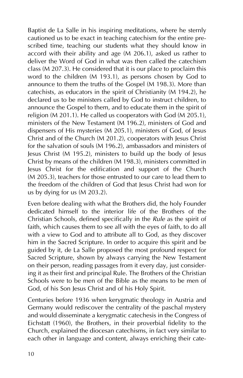Baptist de La Salle in his inspiring meditations, where he sternly cautioned us to be exact in teaching catechism for the entire prescribed time, teaching our students what they should know in accord with their ability and age (M 206.1), asked us rather to deliver the Word of God in what was then called the catechism class (M 207.3). He considered that it is our place to proclaim this word to the children (M 193.1), as persons chosen by God to announce to them the truths of the Gospel (M 198.3). More than catechists, as educators in the spirit of Christianity (M 194.2), he declared us to be ministers called by God to instruct children, to announce the Gospel to them, and to educate them in the spirit of religion (M 201.1). He called us cooperators with God (M 205.1), ministers of the New Testament (M 196.2), ministers of God and dispensers of His mysteries (M 205.1), ministers of God, of Jesus Christ and of the Church (M 201.2), cooperators with Jesus Christ for the salvation of souls (M 196.2), ambassadors and ministers of Jesus Christ (M 195.2), ministers to build up the body of Jesus Christ by means of the children (M 198.3), ministers committed in Jesus Christ for the edification and support of the Church (M 205.3), teachers for those entrusted to our care to lead them to the freedom of the children of God that Jesus Christ had won for us by dying for us (M 203.2).

Even before dealing with what the Brothers did, the holy Founder dedicated himself to the interior life of the Brothers of the Christian Schools, defined specifically in the *Rule* as the spirit of faith, which causes them to see all with the eyes of faith, to do all with a view to God and to attribute all to God, as they discover him in the Sacred Scripture. In order to acquire this spirit and be guided by it, de La Salle proposed the most profound respect for Sacred Scripture, shown by always carrying the New Testament on their person, reading passages from it every day, just considering it as their first and principal Rule. The Brothers of the Christian Schools were to be men of the Bible as the means to be men of God, of his Son Jesus Christ and of his Holy Spirit.

Centuries before 1936 when kerygmatic theology in Austria and Germany would rediscover the centrality of the paschal mystery and would disseminate a kerygmatic catechesis in the Congress of Eichstatt (1960), the Brothers, in their proverbial fidelity to the Church, explained the diocesan catechisms, in fact very similar to each other in language and content, always enriching their cate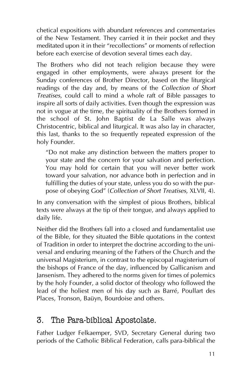chetical expositions with abundant references and commentaries of the New Testament. They carried it in their pocket and they meditated upon it in their "recollections" or moments of reflection before each exercise of devotion several times each day.

The Brothers who did not teach religion because they were engaged in other employments, were always present for the Sunday conferences of Brother Director, based on the liturgical readings of the day and, by means of the *Collection of Short Treatises*, could call to mind a whole raft of Bible passages to inspire all sorts of daily activities. Even though the expression was not in vogue at the time, the spirituality of the Brothers formed in the school of St. John Baptist de La Salle was always Christocentric, biblical and liturgical. It was also lay in character, this last, thanks to the so frequently repeated expression of the holy Founder.

"Do not make any distinction between the matters proper to your state and the concern for your salvation and perfection. You may hold for certain that you will never better work toward your salvation, nor advance both in perfection and in fulfilling the duties of your state, unless you do so with the purpose of obeying God" (*Collection of Short Treatises*, XLVII, 4).

In any conversation with the simplest of pious Brothers, biblical texts were always at the tip of their tongue, and always applied to daily life.

Neither did the Brothers fall into a closed and fundamentalist use of the Bible, for they situated the Bible quotations in the context of Tradition in order to interpret the doctrine according to the universal and enduring meaning of the Fathers of the Church and the universal Magisterium, in contrast to the episcopal magisterium of the bishops of France of the day, influenced by Gallicanism and Jansenism. They adhered to the norms given for times of polemics by the holy Founder, a solid doctor of theology who followed the lead of the holiest men of his day such as Barré, Poullart des Places, Tronson, Baüyn, Bourdoise and others.

#### 3. The Para-biblical Apostolate.

Father Ludger Felkaemper, SVD, Secretary General during two periods of the Catholic Biblical Federation, calls para-biblical the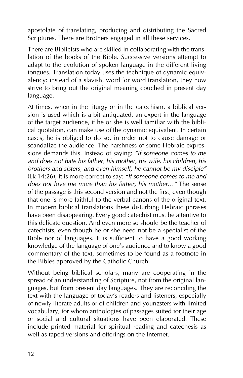apostolate of translating, producing and distributing the Sacred Scriptures. There are Brothers engaged in all these services.

There are Biblicists who are skilled in collaborating with the translation of the books of the Bible. Successive versions attempt to adapt to the evolution of spoken language in the different living tongues. Translation today uses the technique of dynamic equivalency: instead of a slavish, word for word translation, they now strive to bring out the original meaning couched in present day language.

At times, when in the liturgy or in the catechism, a biblical version is used which is a bit antiquated, an expert in the language of the target audience, if he or she is well familiar with the biblical quotation, can make use of the dynamic equivalent. In certain cases, he is obliged to do so, in order not to cause damage or scandalize the audience. The harshness of some Hebraic expressions demands this. Instead of saying: *"If someone comes to me and does not hate his father, his mother, his wife, his children, his brothers and sisters, and even himself, he cannot be my disciple"* (Lk 14:26), it is more correct to say: *"If someone comes to me and does not love me more than his father, his mother…"* The sense of the passage is this second version and not the first, even though that one is more faithful to the verbal canons of the original text. In modern biblical translations these disturbing Hebraic phrases have been disappearing. Every good catechist must be attentive to this delicate question. And even more so should be the teacher of catechists, even though he or she need not be a specialist of the Bible nor of languages. It is sufficient to have a good working knowledge of the language of one's audience and to know a good commentary of the text, sometimes to be found as a footnote in the Bibles approved by the Catholic Church.

Without being biblical scholars, many are cooperating in the spread of an understanding of Scripture, not from the original languages, but from present day languages. They are reconciling the text with the language of today's readers and listeners, especially of newly literate adults or of children and youngsters with limited vocabulary, for whom anthologies of passages suited for their age or social and cultural situations have been elaborated. These include printed material for spiritual reading and catechesis as well as taped versions and offerings on the Internet.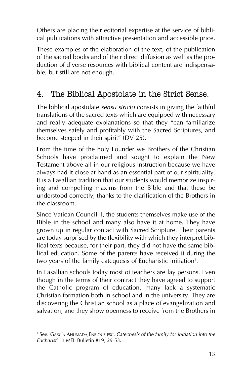Others are placing their editorial expertise at the service of biblical publications with attractive presentation and accessible price.

These examples of the elaboration of the text, of the publication of the sacred books and of their direct diffusion as well as the production of diverse resources with biblical content are indispensable, but still are not enough.

#### 4. The Biblical Apostolate in the Strict Sense.

The biblical apostolate *sensu stricto* consists in giving the faithful translations of the sacred texts which are equipped with necessary and really adequate explanations so that they "can familiarize themselves safely and profitably with the Sacred Scriptures, and become steeped in their spirit" (DV 25).

From the time of the holy Founder we Brothers of the Christian Schools have proclaimed and sought to explain the New Testament above all in our religious instruction because we have always had it close at hand as an essential part of our spirituality. It is a Lasallian tradition that our students would memorize inspiring and compelling maxims from the Bible and that these be understood correctly, thanks to the clarification of the Brothers in the classroom.

Since Vatican Council II, the students themselves make use of the Bible in the school and many also have it at home. They have grown up in regular contact with Sacred Scripture. Their parents are today surprised by the flexibility with which they interpret biblical texts because, for their part, they did not have the same biblical education. Some of the parents have received it during the two years of the family catequesis of Eucharistic initiation'.

In Lasallian schools today most of teachers are lay persons. Even though in the terms of their contract they have agreed to support the Catholic program of education, many lack a systematic Christian formation both in school and in the university. They are discovering the Christian school as a place of evangelization and salvation, and they show openness to receive from the Brothers in

<sup>1</sup> See: GARCÍA AHUMADA,ENRIQUE FSC. *Catechesis of the family for initiation into the Eucharist*" in MEL Bulletin #19, 29-53.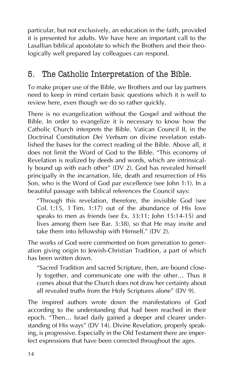particular, but not exclusively, an education in the faith, provided it is presented for adults. We have here an important call to the Lasallian biblical apostolate to which the Brothers and their theologically well prepared lay colleagues can respond.

#### 5. The Catholic Interpretation of the Bible.

To make proper use of the Bible, we Brothers and our lay partners need to keep in mind certain basic questions which it is well to review here, even though we do so rather quickly.

There is no evangelization without the Gospel and without the Bible. In order to evangelize it is necessary to know how the Catholic Church interprets the Bible. Vatican Council II, in the Doctrinal Constitution *Dei Verbum* on divine revelation established the bases for the correct reading of the Bible. Above all, it does not limit the Word of God to the Bible. "This economy of Revelation is realized by deeds and words, which are intrinsically bound up with each other" (DV 2). God has revealed himself principally in the incarnation, life, death and resurrection of His Son, who is the Word of God *par excellence* (see John 1:1). In a beautiful passage with biblical references the Council says:

"Through this revelation, therefore, the invisible God (see Col. 1;15, 1 Tim. 1:17) out of the abundance of His love speaks to men as friends (see Ex. 33:11; John 15:14-15) and lives among them (see Bar. 3:38), so that He may invite and take them into fellowship with Himself." (DV 2).

The works of God were commented on from generation to generation giving origin to Jewish-Christian Tradition, a part of which has been written down.

"Sacred Tradition and sacred Scripture, then, are bound closely together, and communicate one with the other… Thus it comes about that the Church does not draw her certainty about all revealed truths from the Holy Scriptures alone" (DV 9).

The inspired authors wrote down the manifestations of God according to the understanding that had been reached in their epoch. "Then… Israel daily gained a deeper and clearer understanding of His ways" (DV 14). Divine Revelation, properly speaking, is progressive. Especially in the Old Testament there are imperfect expressions that have been corrected throughout the ages.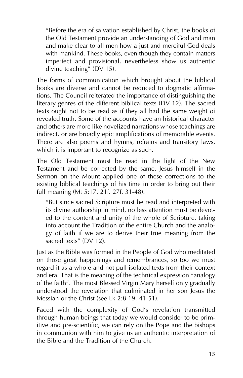"Before the era of salvation established by Christ, the books of the Old Testament provide an understanding of God and man and make clear to all men how a just and merciful God deals with mankind. These books, even though they contain matters imperfect and provisional, nevertheless show us authentic divine teaching" (DV 15).

The forms of communication which brought about the biblical books are diverse and cannot be reduced to dogmatic affirmations. The Council reiterated the importance of distinguishing the literary genres of the different biblical texts (DV 12). The sacred texts ought not to be read as if they all had the same weight of revealed truth. Some of the accounts have an historical character and others are more like novelized narrations whose teachings are indirect, or are broadly epic amplifications of memorable events. There are also poems and hymns, refrains and transitory laws, which it is important to recognize as such.

The Old Testament must be read in the light of the New Testament and be corrected by the same. Jesus himself in the Sermon on the Mount applied one of these corrections to the existing biblical teachings of his time in order to bring out their full meaning (Mt 5:17. 21f. 27f. 31-48).

"But since sacred Scripture must be read and interpreted with its divine authorship in mind, no less attention must be devoted to the content and unity of the whole of Scripture, taking into account the Tradition of the entire Church and the analogy of faith if we are to derive their true meaning from the sacred texts" (DV 12).

Just as the Bible was formed in the People of God who meditated on those great happenings and remembrances, so too we must regard it as a whole and not pull isolated texts from their context and era. That is the meaning of the technical expression "analogy of the faith". The most Blessed Virgin Mary herself only gradually understood the revelation that culminated in her son Jesus the Messiah or the Christ (see Lk 2:8-19. 41-51).

Faced with the complexity of God's revelation transmitted through human beings that today we would consider to be primitive and pre-scientific, we can rely on the Pope and the bishops in communion with him to give us an authentic interpretation of the Bible and the Tradition of the Church.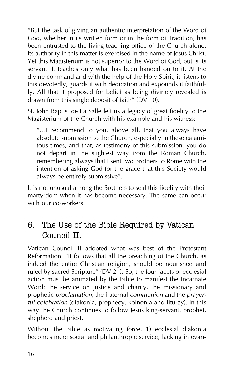"But the task of giving an authentic interpretation of the Word of God, whether in its written form or in the form of Tradition, has been entrusted to the living teaching office of the Church alone. Its authority in this matter is exercised in the name of Jesus Christ. Yet this Magisterium is not superior to the Word of God, but is its servant. It teaches only what has been handed on to it. At the divine command and with the help of the Holy Spirit, it listens to this devotedly, guards it with dedication and expounds it faithfully. All that it proposed for belief as being divinely revealed is drawn from this single deposit of faith" (DV 10).

St. John Baptist de La Salle left us a legacy of great fidelity to the Magisterium of the Church with his example and his witness:

"…I recommend to you, above all, that you always have absolute submission to the Church, especially in these calamitous times, and that, as testimony of this submission, you do not depart in the slightest way from the Roman Church, remembering always that I sent two Brothers to Rome with the intention of asking God for the grace that this Society would always be entirely submissive".

It is not unusual among the Brothers to seal this fidelity with their martyrdom when it has become necessary. The same can occur with our co-workers.

#### 6. The Use of the Bible Required by Vatican Council II.

Vatican Council II adopted what was best of the Protestant Reformation: "It follows that all the preaching of the Church, as indeed the entire Christian religion, should be nourished and ruled by sacred Scripture" (DV 21). So, the four facets of ecclesial action must be animated by the Bible to manifest the Incarnate Word: the service on justice and charity, the missionary and prophetic *proclamation*, the fraternal *communion* and the *prayerful celebration* (diakonia, prophecy, koinonia and liturgy). In this way the Church continues to follow Jesus king-servant, prophet, shepherd and priest.

Without the Bible as motivating force, 1) ecclesial diakonia becomes mere social and philanthropic service, lacking in evan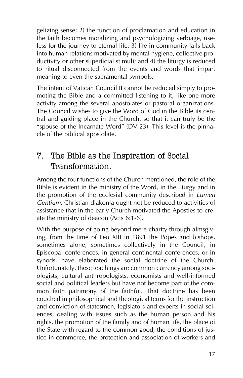gelizing sense; 2) the function of proclamation and education in the faith becomes moralizing and psychologizing verbiage, useless for the journey to eternal life; 3) life in community falls back into human relations motivated by mental hygiene, collective productivity or other superficial stimuli; and 4) the liturgy is reduced to ritual disconnected from the events and words that impart meaning to even the sacramental symbols.

The intent of Vatican Council II cannot be reduced simply to promoting the Bible and a committed listening to it, like one more activity among the several apostolates or pastoral organizations. The Council wishes to give the Word of God in the Bible its central and guiding place in the Church, so that it can truly be the "spouse of the Incarnate Word" (DV 23). This level is the pinnacle of the biblical apostolate.

#### 7. The Bible as the Inspiration of Social Transformation.

Among the four functions of the Church mentioned, the role of the Bible is evident in the ministry of the Word, in the liturgy and in the promotion of the ecclesial community described in *Lumen Gentium*. Christian diakonia ought not be reduced to activities of assistance that in the early Church motivated the Apostles to create the ministry of deacon (Acts 6:1-6).

With the purpose of going beyond mere charity through almsgiving, from the time of Leo XIII in 1891 the Popes and bishops, sometimes alone, sometimes collectively in the Council, in Episcopal conferences, in general continental conferences, or in synods, have elaborated the social doctrine of the Church. Unfortunately, these teachings are common currency among sociologists, cultural anthropologists, economists and well-informed social and political leaders but have not become part of the common faith patrimony of the faithful. That doctrine has been couched in philosophical and theological terms for the instruction and conviction of statesmen, legislators and experts in social sciences, dealing with issues such as the human person and his rights, the promotion of the family and of human life, the place of the State with regard to the common good, the conditions of justice in commerce, the protection and association of workers and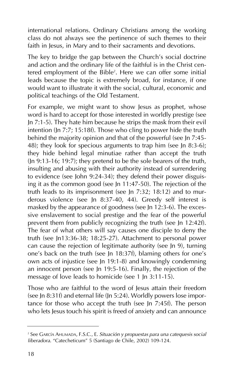international relations. Ordinary Christians among the working class do not always see the pertinence of such themes to their faith in Jesus, in Mary and to their sacraments and devotions.

The key to bridge the gap between the Church's social doctrine and action and the ordinary life of the faithful is in the Christ centered employment of the Bible<sup>2</sup>. Here we can offer some initial leads because the topic is extremely broad, for instance, if one would want to illustrate it with the social, cultural, economic and political teachings of the Old Testament.

For example, we might want to show Jesus as prophet, whose word is hard to accept for those interested in worldly prestige (see Jn 7:1-5). They hate him because he strips the mask from their evil intention (Jn 7:7; 15:18f). Those who cling to power hide the truth behind the majority opinion and that of the powerful (see Jn 7:45- 48); they look for specious arguments to trap him (see Jn 8:3-6); they hide behind legal minutiae rather than accept the truth (Jn 9:13-16; 19:7); they pretend to be the sole bearers of the truth, insulting and abusing with their authority instead of surrendering to evidence (see John 9:24-34); they defend their power disguising it as the common good (see Jn 11:47-50). The rejection of the truth leads to its imprisonment (see Jn 7:32; 18:12) and to murderous violence (see Jn 8:37-40, 44). Greedy self interest is masked by the appearance of goodness (see Jn 12:3-6). The excessive enslavement to social prestige and the fear of the powerful prevent them from publicly recognizing the truth (see Jn 12:42f). The fear of what others will say causes one disciple to deny the truth (see Jn13:36-38; 18:25-27). Attachment to personal power can cause the rejection of legitimate authority (see Jn 9), turning one's back on the truth (see Jn 18:37f), blaming others for one's own acts of injustice (see Jn 19:1-8) and knowingly condemning an innocent person (see Jn 19:5-16). Finally, the rejection of the message of love leads to homicide (see 1 Jn 3:11-15).

Those who are faithful to the word of Jesus attain their freedom (see Jn 8:31f) and eternal life (Jn 5:24). Worldly powers lose importance for those who accept the truth (see Jn 7:45f). The person who lets Jesus touch his spirit is freed of anxiety and can announce

<sup>2</sup> See GARCÍA AHUMADA, F.S.C., E. *Situación y propuestas para una catequesis social liberadora*. "Catecheticum" 5 (Santiago de Chile, 2002) 109-124.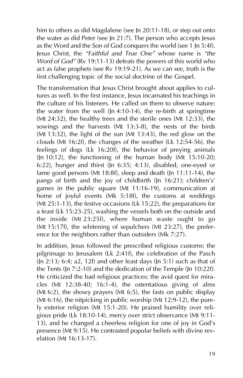him to others as did Magdalene (see Jn 20:11-18), or step out onto the water as did Peter (see Jn 21:7). The person who accepts Jesus as the Word and the Son of God conquers the world (see 1 Jn 5:4f). Jesus Christ, the *"Faithful and True One"* whose name is *"the Word of God"* (Rv 19:11-13) defeats the powers of this world who act as false prophets (see Rv 19:19-21). As we can see, truth is the first challenging topic of the social doctrine of the Gospel.

The transformation that Jesus Christ brought about applies to cultures as well. In the first instance, Jesus incarnated his teachings in the culture of his listeners. He called on them to observe nature: the water from the well (Jn 4:10-14), the re-birth at springtime (Mt 24:32), the healthy trees and the sterile ones (Mt 12:33), the sowings and the harvests (Mt 13:3-8), the nests of the birds  $(Mt 13:32)$ , the light of the sun  $(Mt 13:43)$ , the red glow on the clouds (Mt 16:2f), the changes of the weather (Lk 12:54-56), the feelings of dogs (Lk 16:20f), the behavior of preying animals (Jn 10:12), the functioning of the human body (Mt 15:10-20; 6:22), hunger and thirst (Jn 6:35; 4:13), disabled, one-eyed or lame good persons (Mt 18:8f), sleep and death (Jn 11:11-14), the pangs of birth and the joy of childbirth (Jn 16:21); children's' games in the public square (Mt 11:16-19), communication at home of joyful events (Mk 5:18f), the customs at weddings (Mt 25:1-13), the festive occasions (Lk 15:22), the preparations for a feast (Lk 15:23-25), washing the vessels both on the outside and the inside (Mt 23:25f), where human waste ought to go (Mt 15:17f), the whitening of sepulchers (Mt 23:27), the preference for the neighbors rather than outsiders (Mk 7:27).

In addition, Jesus followed the prescribed religious customs: the pilgrimage to Jerusalem (Lk 2:41f), the celebration of the Pasch  $($ ln 2:13; 6:4; a2, 12f) and other feast days  $($ ln 5:1 $)$  such as that of the Tents (Jn 7:2-10) and the dedication of the Temple (Jn 10:22f). He criticized the bad religious practices: the avid quest for miracles (Mt 12:38-40; 16:1-4), the ostentatious giving of alms (Mt 6:2), the showy prayers (Mt 6:5), the fasts on public display (Mt 6:16), the nitpicking in public worship (Mt 12:9-12), the purely exterior religion (Mt 15:1-20). He praised humility over religious pride (Lk 18:10-14), mercy over strict observance (Mt 9:11- 13), and he changed a cheerless religion for one of joy in God's presence (Mt 9:15). He contrasted popular beliefs with divine revelation (Mt 16:13-17).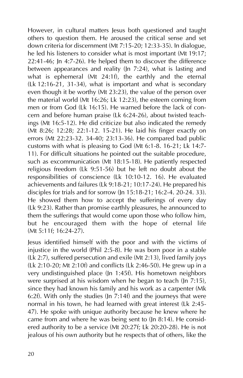However, in cultural matters Jesus both questioned and taught others to question them. He aroused the critical sense and set down criteria for discernment (Mt 7:15-20; 12:33-35). In dialogue, he led his listeners to consider what is most important (Mt 19:17; 22:41-46; Jn 4:7-26). He helped them to discover the difference between appearances and reality (Jn 7:24), what is lasting and what is ephemeral (Mt 24:1f), the earthly and the eternal (Lk 12:16-21, 31-34), what is important and what is secondary even though it be worthy (Mt 23:23), the value of the person over the material world (Mt 16:26; Lk 12:23), the esteem coming from men or from God (Lk 16:15). He warned before the lack of concern and before human praise (Lk 6:24-26), about twisted teachings (Mt 16:5-12). He did criticize but also indicated the remedy (Mt 8:26; 12:28; 22:1-12. 15-21). He laid his finger exactly on errors (Mt 22:23-32. 34-40; 23:13-36). He compared bad public customs with what is pleasing to God (Mt 6:1-8. 16-21; Lk 14:7- 11). For difficult situations he pointed out the suitable procedure, such as excommunication (Mt 18:15-18). He patiently respected religious freedom (Lk 9:51-56) but he left no doubt about the responsibilities of conscience (Lk 10:10-12. 16). He evaluated achievements and failures (Lk 9:18-21; 10:17-24). He prepared his disciples for trials and for sorrow (Jn 15:18-21; 16:2-4. 20-24. 33). He showed them how to accept the sufferings of every day (Lk 9:23). Rather than promise earthly pleasures, he announced to them the sufferings that would come upon those who follow him, but he encouraged them with the hope of eternal life (Mt 5:11f; 16:24-27).

Jesus identified himself with the poor and with the victims of injustice in the world (Phil 2:5-8). He was born poor in a stable (Lk 2:7), suffered persecution and exile (Mt 2:13), lived family joys (Lk 2:10-20; Mt 2:10f) and conflicts (Lk 2:46-50). He grew up in a very undistinguished place (Jn 1:45f). His hometown neighbors were surprised at his wisdom when he began to teach (Jn 7:15), since they had known his family and his work as a carpenter (Mk 6:2f). With only the studies (Jn 7:14f) and the journeys that were normal in his town, he had learned with great interest (Lk 2:45- 47). He spoke with unique authority because he knew where he came from and where he was being sent to (Jn 8:14). He considered authority to be a service (Mt 20:27f; Lk 20:20-28). He is not jealous of his own authority but he respects that of others, like the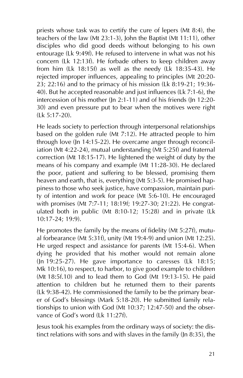priests whose task was to certify the cure of lepers (Mt 8:4), the teachers of the law (Mt 23:1-3), John the Baptist (Mt 11:11), other disciples who did good deeds without belonging to his own entourage (Lk 9:49f). He refused to intervene in what was not his concern (Lk 12:13f). He forbade others to keep children away from him (Lk 18:15f) as well as the needy (Lk 18:35-43). He rejected improper influences, appealing to principles (Mt 20:20- 23; 22:16) and to the primacy of his mission (Lk 8:19-21; 19:36- 40). But he accepted reasonable and just influences (Lk 7:1-6), the intercession of his mother (Jn 2:1-11) and of his friends (Jn 12:20- 30) and even pressure put to bear when the motives were right (Lk 5:17-20).

He leads society to perfection through interpersonal relationships based on the golden rule (Mt 7:12). He attracted people to him through love (Jn 14:15-22). He overcame anger through reconciliation (Mt 4:22-24), mutual understanding (Mt 5:25f) and fraternal correction (Mt 18:15-17). He lightened the weight of duty by the means of his company and example (Mt 11:28-30). He declared the poor, patient and suffering to be blessed, promising them heaven and earth, that is, everything (Mt 5:3-5). He promised happiness to those who seek justice, have compassion, maintain purity of intention and work for peace (Mt 5:6-10). He encouraged with promises (Mt 7:7-11; 18:19f; 19:27-30; 21:22). He congratulated both in public (Mt 8:10-12; 15:28) and in private (Lk 10:17-24; 19:9).

He promotes the family by the means of fidelity (Mt 5:27f), mutual forbearance (Mt 5:31f), unity (Mt 19:4-9) and union (Mt 12:25). He urged respect and assistance for parents (Mt 15:4-6). When dying he provided that his mother would not remain alone (Jn 19:25-27). He gave importance to caresses (Lk 18:15; Mk 10:16), to respect, to harbor, to give good example to children (Mt 18:5f.10) and to lead them to God (Mt 19:13-15). He paid attention to children but he returned them to their parents (Lk 9:38-42). He commissioned the family to be the primary bearer of God's blessings (Mark 5:18-20). He submitted family relationships to union with God (Mt 10:37; 12:47-50) and the observance of God's word (Lk 11:27f).

Jesus took his examples from the ordinary ways of society: the distinct relations with sons and with slaves in the family (Jn 8:35), the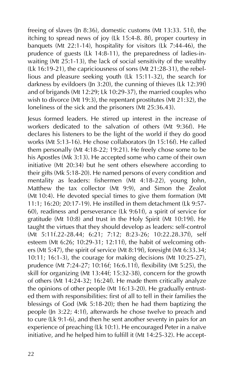freeing of slaves (Jn 8:36), domestic customs (Mt 13:33. 51f), the itching to spread news of joy (Lk 15:4-8. 8f), proper courtesy in banquets (Mt 22:1-14), hospitality for visitors (Lk 7:44-46), the prudence of guests (Lk 14:8-11), the preparedness of ladies-inwaiting (Mt  $25:1-13$ ), the lack of social sensitivity of the wealthy (Lk 16:19-21), the capriciousness of sons (Mt 21:28-31), the rebellious and pleasure seeking youth (Lk 15:11-32), the search for darkness by evildoers (Jn 3:20), the cunning of thieves (Lk 12:39f) and of brigands (Mt 12:29; Lk 10:29-37), the married couples who wish to divorce (Mt 19:3), the repentant prostitutes (Mt 21:32), the loneliness of the sick and the prisoners (Mt 25:36.43).

Jesus formed leaders. He stirred up interest in the increase of workers dedicated to the salvation of others (Mt 9:36f). He declares his listeners to be the light of the world if they do good works (Mt 5:13-16). He chose collaborators (Jn 15:16f). He called them personally (Mt 4:18-22; 19:21). He freely chose some to be his Apostles (Mk 3:13). He accepted some who came of their own initiative (Mt 20:34) but he sent others elsewhere according to their gifts (Mk 5:18-20). He named persons of every condition and mentality as leaders: fishermen (Mt 4:18-22), young John, Matthew the tax collector (Mt 9:9), and Simon the Zealot (Mt 10:4). He devoted special times to give them formation (Mt 11:1; 16:20; 20:17-19). He instilled in them detachment (Lk 9:57- 60), readiness and perseverance (Lk 9:61f), a spirit of service for gratitude (Mt 10:8) and trust in the Holy Spirit (Mt 10:19f). He taught the virtues that they should develop as leaders: self-control (Mt 5:11f.22-28.44; 6:21; 7:12; 8:23-26; 10:22.28.37f), self esteem (Mt 6:26; 10:29-31; 12:11f), the habit of welcoming others (Mt 5:47), the spirit of service (Mt 8:19f), foresight (Mt  $6:33.34$ ; 10:11; 16:1-3), the courage for making decisions (Mt 10:25-27), prudence (Mt 7:24-27; 10:16f; 16:6.11f), flexibility (Mt 5:25), the skill for organizing (Mt 13:44f; 15:32-38), concern for the growth of others (Mt 14:24-32; 16:24f). He made them critically analyze the opinions of other people (Mt 16:13-20). He gradually entrusted them with responsibilities: first of all to tell in their families the blessings of God (Mk 5:18-20); then he had them baptizing the people (Jn 3:22; 4:1f), afterwards he chose twelve to preach and to cure (Lk 9:1-6), and then he sent another seventy in pairs for an experience of preaching (Lk 10:1). He encouraged Peter in a naïve initiative, and he helped him to fulfill it (Mt 14:25-32). He accept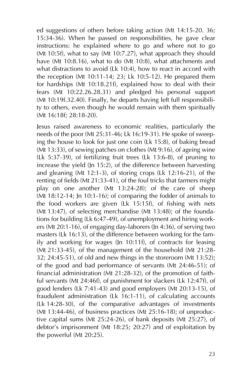ed suggestions of others before taking action (Mt 14:15-20. 36; 15:34-36). When he passed on responsibilities, he gave clear instructions: he explained where to go and where not to go (Mt 10:5f), what to say (Mt 10:7.27), what approach they should have (Mt 10:8.16), what to do (Mt 10:8), what attachments and what distractions to avoid (Lk 10:4), how to react in accord with the reception (Mt 10:11-14; 23; Lk 10:5-12). He prepared them for hardships (Mt 10:18.21f), explained how to deal with their fears (Mt 10:22.26.28.31) and pledged his personal support (Mt 10:19f.32.40). Finally, he departs having left full responsibility to others, even though he would remain with them spiritually (Mt 16:18f; 28:18-20).

Jesus raised awareness to economic realities, particularly the needs of the poor (Mt 25:31-46; Lk 16:19-31). He spoke of sweeping the house to look for just one coin (Lk 15:8), of baking bread (Mt 13:33), of sewing patches on clothes (Mt 9:16), of ageing wine (Lk 5:37-39), of fertilizing fruit trees (Lk 13:6-8), of pruning to increase the yield (Jn 15:2), of the difference between harvesting and gleaning (Mt 12:1-3), of storing crops (Lk 12:16-21), of the renting of fields (Mt 21:33-41), of the foul tricks that farmers might play on one another (Mt 13:24-28); of the care of sheep (Mt 18:12-14; Jn 10:1-16); of comparing the fodder of animals to the food workers are given (Lk 15:15f), of fishing with nets (Mt 13:47), of selecting merchandise (Mt 13:48); of the foundations for building (Lk 6:47-49), of unemployment and hiring workers (Mt 20:1-16), of engaging day-laborers (Jn 4:36), of serving two masters (Lk 16:13), of the difference between working for the family and working for wages (Jn 10:11f), of contracts for leasing (Mt 21:33-45), of the management of the household (Mt 21:28- 32; 24:45-51), of old and new things in the storeroom (Mt 13:52); of the good and bad performance of servants (Mt 24:46-51); of financial administration (Mt 21:28-32), of the promotion of faithful servants (Mt 24:46f), of punishment for slackers (Lk 12:47f), of good lenders (Lk 7:41-43) and good employers (Mt 20:13-15), of fraudulent administration (Lk 16:1-11), of calculating accounts (Lk 14:28-30), of the comparative advantages of investments (Mt 13:44-46), of business practices (Mt 25:16-18); of unproductive capital sums (Mt 25:24-26), of bank deposits (Mt 25:27), of debtor's imprisonment (Mt 18:25; 20:27) and of exploitation by the powerful (Mt 20:25).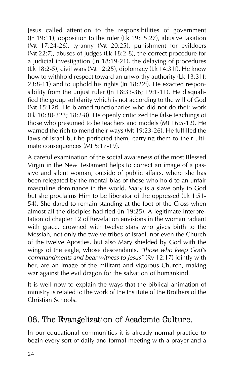Jesus called attention to the responsibilities of government (Jn 19:11), opposition to the ruler (Lk 19:15.27), abusive taxation (Mt 17:24-26), tyranny (Mt 20:25), punishment for evildoers (Mt 22:7), abuses of judges (Lk 18:2-8), the correct procedure for a judicial investigation (Jn 18:19-21), the delaying of procedures (Lk 18:2-5), civil wars (Mt 12:25), diplomacy (Lk 14:31f). He knew how to withhold respect toward an unworthy authority (Lk 13:31f; 23:8-11) and to uphold his rights (Jn 18:22f). He exacted responsibility from the unjust ruler (Jn 18:33-36; 19:1-11). He disqualified the group solidarity which is not according to the will of God (Mt 15:12f). He blamed functionaries who did not do their work (Lk 10:30-323; 18:2-8). He openly criticized the false teachings of those who presumed to be teachers and models (Mt 16:5-12). He warned the rich to mend their ways (Mt 19:23-26). He fulfilled the laws of Israel but he perfected them, carrying them to their ultimate consequences (Mt 5:17-19).

A careful examination of the social awareness of the most Blessed Virgin in the New Testament helps to correct an image of a passive and silent woman, outside of public affairs, where she has been relegated by the mental bias of those who hold to an unfair masculine dominance in the world. Mary is a slave only to God but she proclaims Him to be liberator of the oppressed (Lk 1:51- 54). She dared to remain standing at the foot of the Cross when almost all the disciples had fled (Jn 19:25). A legitimate interpretation of chapter 12 of Revelation envisions in the woman radiant with grace, crowned with twelve stars who gives birth to the Messiah, not only the twelve tribes of Israel, nor even the Church of the twelve Apostles, but also Mary shielded by God with the wings of the eagle, whose descendants, *"those who keep God's commandments and bear witness to Jesus"* (Rv 12:17) jointly with her, are an image of the militant and vigorous Church, making war against the evil dragon for the salvation of humankind.

It is well now to explain the ways that the biblical animation of ministry is related to the work of the Institute of the Brothers of the Christian Schools.

#### 08. The Evangelization of Academic Culture.

In our educational communities it is already normal practice to begin every sort of daily and formal meeting with a prayer and a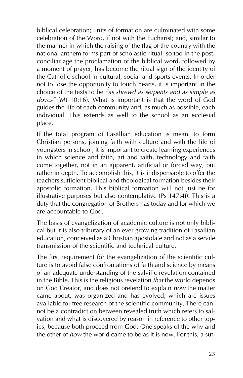biblical celebration; units of formation are culminated with some celebration of the Word, if not with the Eucharist; and, similar to the manner in which the raising of the flag of the country with the national anthem forms part of scholastic ritual, so too in the postconciliar age the proclamation of the biblical word, followed by a moment of prayer, has become the ritual sign of the identity of the Catholic school in cultural, social and sports events. In order not to lose the opportunity to touch hearts, it is important in the choice of the texts to be *"as shrewd as serpents and as simple as doves"* (Mt 10:16). What is important is that the word of God guides the life of each community and, as much as possible, each individual. This extends as well to the school as an ecclesial place.

If the total program of Lasallian education is meant to form Christian persons, joining faith with culture and with the life of youngsters in school, it is important to create learning experiences in which science and faith, art and faith, technology and faith come together, not in an apparent, artificial or forced way, but rather in depth. To accomplish this, it is indispensable to offer the teachers sufficient biblical and theological formation besides their apostolic formation. This biblical formation will not just be for illustrative purposes but also contemplative (Ps 147:4f). This is a duty that the congregation of Brothers has today and for which we are accountable to God.

The basis of evangelization of academic culture is not only biblical but it is also tributary of an ever growing tradition of Lasallian education, conceived as a Christian apostolate and not as a servile transmission of the scientific and technical culture.

The first requirement for the evangelization of the scientific culture is to avoid false confrontations of faith and science by means of an adequate understanding of the salvific revelation contained in the Bible. This is the religious revelation *that* the world depends on God Creator, and does not pretend to explain *how* the matter came about, was organized and has evolved, which are issues available for free research of the scientific community. There cannot be a contradiction between revealed truth which refers to salvation and what is discovered by reason in reference to other topics, because both proceed from God. One speaks of the why and the other of *how* the world came to be as it is now. For this, a suf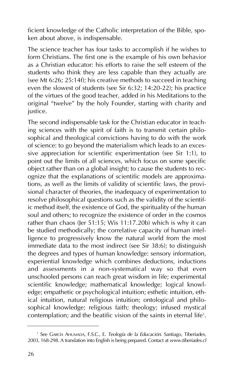ficient knowledge of the Catholic interpretation of the Bible, spoken about above, is indispensable.

The science teacher has four tasks to accomplish if he wishes to form Christians. The first one is the example of his own behavior as a Christian educator: his efforts to raise the self esteem of the students who think they are less capable than they actually are (see Mt 6:26; 25:14f); his creative methods to succeed in teaching even the slowest of students (see Sir 6:32; 14:20-22); his practice of the virtues of the good teacher, added in his Meditations to the original "twelve" by the holy Founder, starting with charity and justice.

The second indispensable task for the Christian educator in teaching sciences with the spirit of faith is to transmit certain philosophical and theological convictions having to do with the work of science: to go beyond the materialism which leads to an excessive appreciation for scientific experimentation (see Sir 1:1), to point out the limits of all sciences, which focus on some specific object rather than on a global insight; to cause the students to recognize that the explanations of scientific models are approximations, as well as the limits of validity of scientific laws, the provisional character of theories, the inadequacy of experimentation to resolve philosophical questions such as the validity of the scientific method itself, the existence of God, the spirituality of the human soul and others; to recognize the existence of order in the cosmos rather than chaos (Jer 51:15; Wis 11:17.20b) which is why it can be studied methodically; the correlative capacity of human intelligence to progressively know the natural world from the most immediate data to the most indirect (see Sir 38:6); to distinguish the degrees and types of human knowledge: sensory information, experiential knowledge which combines deductions, inductions and assessments in a non-systematical way so that even unschooled persons can reach great wisdom in life; experimental scientific knowledge; mathematical knowledge; logical knowledge; empathetic or psychological intuition; esthetic intuition, ethical intuition, natural religious intuition; ontological and philosophical knowledge; religious faith; theology; infused mystical contemplation; and the beatific vision of the saints in eternal life<sup>3</sup>.

<sup>3</sup> See GARCÍA AHUMADA, F.S.C., E. *Teología de la Educación*. Santiago, Tiberíades, 2003, 168-298. A translation into English is being prepared. Contact at *www.tiberiades.cl*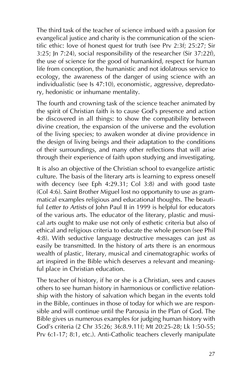The third task of the teacher of science imbued with a passion for evangelical justice and charity is the communication of the scientific ethic: love of honest quest for truth (see Prv 2:3f; 25:27; Sir 3:25; Jn 7:24), social responsibility of the researcher (Sir 37:22f), the use of science for the good of humankind, respect for human life from conception, the humanistic and not idolatrous service to ecology, the awareness of the danger of using science with an individualistic (see Is 47:10), economistic, aggressive, depredatory, hedonistic or inhumane mentality.

The fourth and crowning task of the science teacher animated by the spirit of Christian faith is to cause God's presence and action be discovered in all things: to show the compatibility between divine creation, the expansion of the universe and the evolution of the living species; to awaken wonder at divine providence in the design of living beings and their adaptation to the conditions of their surroundings, and many other reflections that will arise through their experience of faith upon studying and investigating.

It is also an objective of the Christian school to evangelize artistic culture. The basis of the literary arts is learning to express oneself with decency (see Eph 4:29.31; Col 3:8) and with good taste (Col 4:6). Saint Brother Miguel lost no opportunity to use as grammatical examples religious and educational thoughts. The beautiful *Letter to Artists* of John Paul II in 1999 is helpful for educators of the various arts. The educator of the literary, plastic and musical arts ought to make use not only of esthetic criteria but also of ethical and religious criteria to educate the whole person (see Phil 4:8). With seductive language destructive messages can just as easily be transmitted. In the history of arts there is an enormous wealth of plastic, literary, musical and cinematographic works of art inspired in the Bible which deserves a relevant and meaningful place in Christian education.

The teacher of history, if he or she is a Christian, sees and causes others to see human history in harmonious or conflictive relationship with the history of salvation which began in the events told in the Bible, continues in those of today for which we are responsible and will continue until the Parousia in the Plan of God. The Bible gives us numerous examples for judging human history with God's criteria (2 Chr 35:26; 36:8.9.11f; Mt 20:25-28; Lk 1:50-55; Prv 6:1-17; 8:1, etc.). Anti-Catholic teachers cleverly manipulate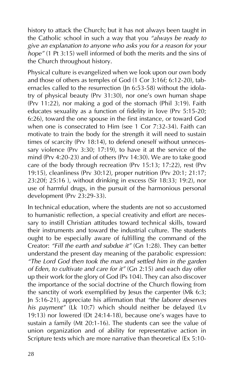history to attack the Church; but it has not always been taught in the Catholic school in such a way that you *"always be ready to give an explanation to anyone who asks you for a reason for your hope"* (1 Pt 3:15) well informed of both the merits and the sins of the Church throughout history.

Physical culture is evangelized when we look upon our own body and those of others as temples of God (1 Cor 3:16f; 6:12-20), tabernacles called to the resurrection (Jn 6:53-58) without the idolatry of physical beauty (Prv 31:30), nor one's own human shape (Prv 11:22), nor making a god of the stomach (Phil 3:19). Faith educates sexuality as a function of fidelity in love (Prv 5:15-20; 6:26), toward the one spouse in the first instance, or toward God when one is consecrated to Him (see 1 Cor 7:32-34). Faith can motivate to train the body for the strength it will need to sustain times of scarcity (Prv 18:14), to defend oneself without unnecessary violence (Prv 3:30; 17:19), to have it at the service of the mind (Prv 4:20-23) and of others (Prv 14:30). We are to take good care of the body through recreation (Prv 15:13; 17:22), rest (Prv 19:15), cleanliness (Prv 30:12), proper nutrition (Prv 20:1; 21:17; 23:20f; 25:16 ), without drinking in excess (Sir 18:33; 19:2), nor use of harmful drugs, in the pursuit of the harmonious personal development (Prv 23:29-33).

In technical education, where the students are not so accustomed to humanistic reflection, a special creativity and effort are necessary to instill Christian attitudes toward technical skills, toward their instruments and toward the industrial culture. The students ought to be especially aware of fulfilling the command of the Creator: *"Fill the earth and subdue it"* (Gn 1:28). They can better understand the present day meaning of the parabolic expression: *"The Lord God then took the man and settled him in the garden of Eden, to cultivate and care for it"* (Gn 2:15) and each day offer up their work for the glory of God (Ps 104). They can also discover the importance of the social doctrine of the Church flowing from the sanctity of work exemplified by Jesus the carpenter (Mk 6:3; Jn 5:16-21), appreciate his affirmation that *"the laborer deserves his payment"* (Lk 10:7) which should neither be delayed (Lv 19:13) nor lowered (Dt 24:14-18), because one's wages have to sustain a family (Mt 20:1-16). The students can see the value of union organization and of ability for representative action in Scripture texts which are more narrative than theoretical (Ex 5:10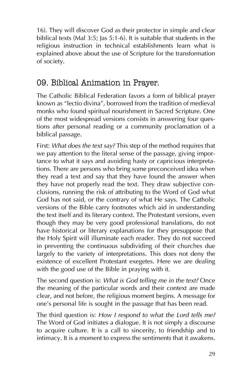16). They will discover God as their protector in simple and clear biblical texts (Mal 3:5; Jas 5:1-6). It is suitable that students in the religious instruction in technical establishments learn what is explained above about the use of Scripture for the transformation of society.

#### 09. Biblical Animation in Prayer.

The Catholic Biblical Federation favors a form of biblical prayer known as "lectio divina", borrowed from the tradition of medieval monks who found spiritual nourishment in Sacred Scripture. One of the most widespread versions consists in answering four questions after personal reading or a community proclamation of a biblical passage.

First: *What does the text say?* This step of the method requires that we pay attention to the literal sense of the passage, giving importance to what it says and avoiding hasty or capricious interpretations. There are persons who bring some preconceived idea when they read a text and say that they have found the answer when they have not properly read the text. They draw subjective conclusions, running the risk of attributing to the Word of God what God has not said, or the contrary of what He says. The Catholic versions of the Bible carry footnotes which aid in understanding the text itself and its literary context. The Protestant versions, even though they may be very good professional translations, do not have historical or literary explanations for they presuppose that the Holy Spirit will illuminate each reader. They do not succeed in preventing the continuous subdividing of their churches due largely to the variety of interpretations. This does not deny the existence of excellent Protestant exegetes. Here we are dealing with the good use of the Bible in praying with it.

The second question is: *What is God telling me in the text?* Once the meaning of the particular words and their context are made clear, and not before, the religious moment begins. A message for one's personal life is sought in the passage that has been read.

The third question is: *How I respond to what the Lord tells me?* The Word of God initiates a dialogue. It is not simply a discourse to acquire culture. It is a call to sincerity, to friendship and to intimacy. It is a moment to express the sentiments that it awakens.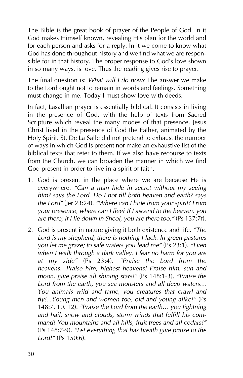The Bible is the great book of prayer of the People of God. In it God makes Himself known, revealing His plan for the world and for each person and asks for a reply. In it we come to know what God has done throughout history and we find what we are responsible for in that history. The proper response to God's love shown in so many ways, is love. Thus the reading gives rise to prayer.

The final question is: *What will I do now?* The answer we make to the Lord ought not to remain in words and feelings. Something must change in me. Today I must show love with deeds.

In fact, Lasallian prayer is essentially biblical. It consists in living in the presence of God, with the help of texts from Sacred Scripture which reveal the many modes of that presence. Jesus Christ lived in the presence of God the Father, animated by the Holy Spirit. St. De La Salle did not pretend to exhaust the number of ways in which God is present nor make an exhaustive list of the biblical texts that refer to them. If we also have recourse to texts from the Church, we can broaden the manner in which we find God present in order to live in a spirit of faith.

- 1. God is present in the place where we are because He is everywhere. *"Can a man hide in secret without my seeing him? says the Lord. Do I not fill both heaven and earth? says the Lord"* (Jer 23:24). *"Where can I hide from your spirit? From your presence, where can I flee? If I ascend to the heaven, you are there; if I lie down in Sheol, you are there too."* (Ps 137:7f).
- 2. God is present in nature giving it both existence and life. *"The Lord is my shepherd; there is nothing I lack. In green pastures you let me graze; to safe waters you lead me"* (Ps 23:1). *"Even when I walk through a dark valley, I fear no harm for you are at my side"* (Ps 23:4). *"Praise the Lord from the heavens…Praise him, highest heavens! Praise him, sun and moon, give praise all shining stars!"* (Ps 148:1-3). *"Praise the Lord from the earth, you sea monsters and all deep waters… You animals wild and tame, you creatures that crawl and fly!...Young men and women too, old and young alike!"* (Ps 148:7. 10. 12). *"Praise the Lord from the earth… you lightning and hail, snow and clouds, storm winds that fulfill his command! You mountains and all hills, fruit trees and all cedars!"* (Ps 148:7-9). *"Let everything that has breath give praise to the Lord!"* (Ps 150:6).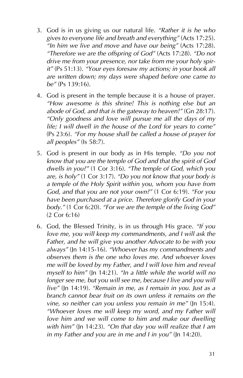- 3. God is in us giving us our natural life. *"Rather it is he who gives to everyone life and breath and everything"* (Acts 17:25). *"In him we live and move and have our being"* (Acts 17:28). *"Therefore we are the offspring of God"* (Acts 17:28). *"Do not drive me from your presence, nor take from me your holy spirit"* (Ps 51:13). *"Your eyes foresaw my actions; in your book all are written down; my days were shaped before one came to be"* (Ps 139:16).
- 4. God is present in the temple because it is a house of prayer. *"How awesome is this shrine! This is nothing else but an abode of God, and that is the gateway to heaven!"* (Gn 28:17). *"Only goodness and love will pursue me all the days of my life; I will dwell in the house of the Lord for years to come"* (Ps 23:6). *"For my house shall be called a house of prayer for all peoples"* (Is 58:7).
- 5. God is present in our body as in His temple. *"Do you not know that you are the temple of God and that the spirit of God dwells in you?"* (1 Cor 3:16). *"The temple of God, which you are, is holy"* (1 Cor 3:17). *"Do you not know that your body is a temple of the Holy Spirit within you, whom you have from God, and that you are not your own?"* (1 Cor 6:19). *"For you have been purchased at a price. Therefore glorify God in your body."* (1 Cor 6:20). *"For we are the temple of the living God"* (2 Cor 6:16)
- 6. God, the Blessed Trinity, is in us through His grace. *"If you love me, you will keep my commandments, and I will ask the Father, and he will give you another Advocate to be with you always"* (Jn 14:15-16). *"Whoever has my commandments and observes them is the one who loves me. And whoever loves me will be loved by my Father, and I will love him and reveal myself to him"* (Jn 14:21). *"In a little while the world will no longer see me, but you will see me, because I live and you will live"* (Jn 14:19). *"Remain in me, as I remain in you. Just as a branch cannot bear fruit on its own unless it remains on the vine, so neither can you unless you remain in me"* (Jn 15:4). *"Whoever loves me will keep my word, and my Father will love him and we will come to him and make our dwelling with him"* (Jn 14:23). *"On that day you will realize that I am in my Father and you are in me and I in you"* (Jn 14:20).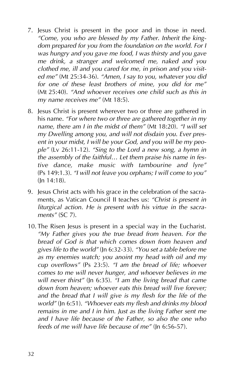- 7. Jesus Christ is present in the poor and in those in need. *"Come, you who are blessed by my Father. Inherit the kingdom prepared for you from the foundation on the world. For I was hungry and you gave me food, I was thirsty and you gave me drink, a stranger and welcomed me, naked and you clothed me, ill and you cared for me, in prison and you visited me"* (Mt 25:34-36). *"Amen, I say to you, whatever you did for one of these least brothers of mine, you did for me"* (Mt 25:40). *"And whoever receives one child such as this in my name receives me"* (Mt 18:5).
- 8. Jesus Christ is present wherever two or three are gathered in his name. *"For where two or three are gathered together in my name, there am I in the midst of them"* (Mt 18:20). *"I will set my Dwelling among you, and will not disdain you. Ever present in your midst, I will be your God, and you will be my people"* (Lv 26:11-12). *"Sing to the Lord a new song, a hymn in the assembly of the faithful… Let them praise his name in festive dance, make music with tambourine and lyre"* (Ps 149:1.3). *"I will not leave you orphans; I will come to you"* (Jn 14:18).
- 9. Jesus Christ acts with his grace in the celebration of the sacraments, as Vatican Council II teaches us: *"Christ is present in liturgical action. He is present with his virtue in the sacraments"* (SC 7).
- 10. The Risen Jesus is present in a special way in the Eucharist. *"My Father gives you the true bread from heaven. For the bread of God is that which comes down from heaven and gives life to the world"* (Jn 6:32-33). *"You set a table before me as my enemies watch; you anoint my head with oil and my cup overflows"* (Ps 23:5). *"I am the bread of life; whoever comes to me will never hunger, and whoever believes in me will never thirst"* (Jn 6:35). *"I am the living bread that came down from heaven; whoever eats this bread will live forever; and the bread that I will give is my flesh for the life of the world"* (Jn 6:51). *"Whoever eats my flesh and drinks my blood remains in me and I in him. Just as the living Father sent me and I have life because of the Father, so also the one who feeds of me will have life because of me"* (Jn 6:56-57).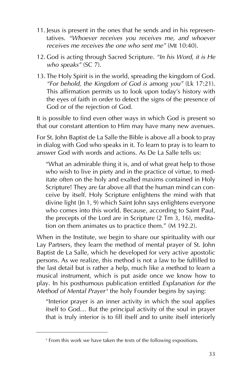- 11. Jesus is present in the ones that he sends and in his representatives. *"Whoever receives you receives me, and whoever receives me receives the one who sent me"* (Mt 10:40).
- 12. God is acting through Sacred Scripture. *"In his Word, it is He who speaks"* (SC 7).
- 13. The Holy Spirit is in the world, spreading the kingdom of God. *"For behold, the Kingdom of God is among you"* (Lk 17:21). This affirmation permits us to look upon today's history with the eyes of faith in order to detect the signs of the presence of God or of the rejection of God.

It is possible to find even other ways in which God is present so that our constant attention to Him may have many new avenues.

For St. John Baptist de La Salle the Bible is above all a book to pray in dialog with God who speaks in it. To learn to pray is to learn to answer God with words and actions. As De La Salle tells us:

"What an admirable thing it is, and of what great help to those who wish to live in piety and in the practice of virtue, to meditate often on the holy and exalted maxims contained in Holy Scripture! They are far above all that the human mind can conceive by itself. Holy Scripture enlightens the mind with that divine light (Jn 1, 9) which Saint John says enlightens everyone who comes into this world. Because, according to Saint Paul, the precepts of the Lord are in Scripture (2 Tm 3, 16), meditation on them animates us to practice them." (M 192.2).

When in the Institute, we begin to share our spirituality with our Lay Partners, they learn the method of mental prayer of St. John Baptist de La Salle, which he developed for very active apostolic persons. As we realize, this method is not a law to be fulfilled to the last detail but is rather a help, much like a method to learn a musical instrument, which is put aside once we know how to play. In his posthumous publication entitled *Explanation for the Method of Mental Prayer*<sup>4</sup> the holy Founder begins by saying:

"Interior prayer is an inner activity in which the soul applies itself to God… But the principal activity of the soul in prayer that is truly interior is to fill itself and to unite itself interiorly

<sup>4</sup> From this work we have taken the texts of the following expositions.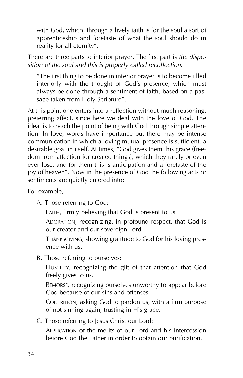with God, which, through a lively faith is for the soul a sort of apprenticeship and foretaste of what the soul should do in reality for all eternity".

There are three parts to interior prayer. The first part is *the disposition of the soul and this is properly called recollection*.

"The first thing to be done in interior prayer is to become filled interiorly with the thought of God's presence, which must always be done through a sentiment of faith, based on a passage taken from Holy Scripture".

At this point one enters into a reflection without much reasoning, preferring affect, since here we deal with the love of God. The ideal is to reach the point of being with God through simple attention. In love, words have importance but there may be intense communication in which a loving mutual presence is sufficient, a desirable goal in itself. At times, "God gives them this grace (freedom from affection for created things), which they rarely or even ever lose, and for them this is anticipation and a foretaste of the joy of heaven". Now in the presence of God the following acts or sentiments are quietly entered into:

For example,

A. Those referring to God:

FAITH, firmly believing that God is present to us.

ADORATION, recognizing, in profound respect, that God is our creator and our sovereign Lord.

THANKSGIVING, showing gratitude to God for his loving presence with us.

B. Those referring to ourselves:

HUMILITY, recognizing the gift of that attention that God freely gives to us.

REMORSE, recognizing ourselves unworthy to appear before God because of our sins and offenses.

CONTRITION, asking God to pardon us, with a firm purpose of not sinning again, trusting in His grace.

C. Those referring to Jesus Christ our Lord:

APPLICATION of the merits of our Lord and his intercession before God the Father in order to obtain our purification.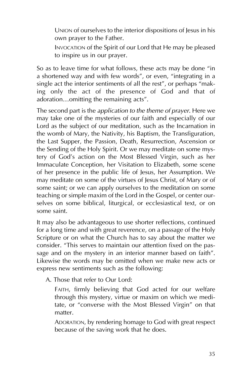UNION of ourselves to the interior dispositions of Jesus in his own prayer to the Father.

INVOCATION of the Spirit of our Lord that He may be pleased to inspire us in our prayer.

So as to leave time for what follows, these acts may be done "in a shortened way and with few words", or even, "integrating in a single act the interior sentiments of all the rest", or perhaps "making only the act of the presence of God and that of adoration…omitting the remaining acts".

The second part is the *application to the theme of prayer*. Here we may take one of the mysteries of our faith and especially of our Lord as the subject of our meditation, such as the Incarnation in the womb of Mary, the Nativity, his Baptism, the Transfiguration, the Last Supper, the Passion, Death, Resurrection, Ascension or the Sending of the Holy Spirit. Or we may meditate on some mystery of God's action on the Most Blessed Virgin, such as her Immaculate Conception, her Visitation to Elizabeth, some scene of her presence in the public life of Jesus, her Assumption. We may meditate on some of the virtues of Jesus Christ, of Mary or of some saint; or we can apply ourselves to the meditation on some teaching or simple maxim of the Lord in the Gospel, or center ourselves on some biblical, liturgical, or ecclesiastical text, or on some saint.

It may also be advantageous to use shorter reflections, continued for a long time and with great reverence, on a passage of the Holy Scripture or on what the Church has to say about the matter we consider. "This serves to maintain our attention fixed on the passage and on the mystery in an interior manner based on faith". Likewise the words may be omitted when we make new acts or express new sentiments such as the following:

A. Those that refer to Our Lord:

FAITH, firmly believing that God acted for our welfare through this mystery, virtue or maxim on which we meditate, or "converse with the Most Blessed Virgin" on that matter.

ADORATION, by rendering homage to God with great respect because of the saving work that he does.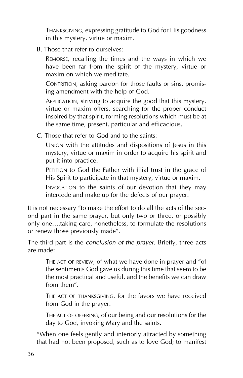THANKSGIVING, expressing gratitude to God for His goodness in this mystery, virtue or maxim.

B. Those that refer to ourselves:

REMORSE, recalling the times and the ways in which we have been far from the spirit of the mystery, virtue or maxim on which we meditate.

CONTRITION, asking pardon for those faults or sins, promising amendment with the help of God.

APPLICATION, striving to acquire the good that this mystery, virtue or maxim offers, searching for the proper conduct inspired by that spirit, forming resolutions which must be at the same time, present, particular and efficacious.

C. Those that refer to God and to the saints:

UNION with the attitudes and dispositions of Jesus in this mystery, virtue or maxim in order to acquire his spirit and put it into practice.

PETITION to God the Father with filial trust in the grace of His Spirit to participate in that mystery, virtue or maxim.

INVOCATION to the saints of our devotion that they may intercede and make up for the defects of our prayer.

It is not necessary "to make the effort to do all the acts of the second part in the same prayer, but only two or three, or possibly only one….taking care, nonetheless, to formulate the resolutions or renew those previously made".

The third part is the *conclusion of the prayer*. Briefly, three acts are made:

THE ACT OF REVIEW, of what we have done in prayer and "of the sentiments God gave us during this time that seem to be the most practical and useful, and the benefits we can draw from them".

THE ACT OF THANKSGIVING, for the favors we have received from God in the prayer.

THE ACT OF OFFERING, of our being and our resolutions for the day to God, invoking Mary and the saints.

"When one feels gently and interiorly attracted by something that had not been proposed, such as to love God; to manifest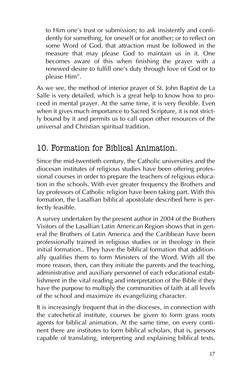to Him one's trust or submission; to ask insistently and confidently for something, for oneself or for another; or to reflect on some Word of God, that attraction must be followed in the measure that may please God to maintain us in it. One becomes aware of this when finishing the prayer with a renewed desire to fulfill one's duty through love of God or to please Him".

As we see, the method of interior prayer of St. John Baptist de La Salle is very detailed, which is a great help to know how to proceed in mental prayer. At the same time, it is very flexible. Even when it gives much importance to Sacred Scripture, it is not strictly bound by it and permits us to call upon other resources of the universal and Christian spiritual tradition.

#### 10. Formation for Biblical Animation.

Since the mid-twentieth century, the Catholic universities and the diocesan institutes of religious studies have been offering professional courses in order to prepare the teachers of religious education in the schools. With ever greater frequency the Brothers and lay professors of Catholic religion have been taking part. With this formation, the Lasallian biblical apostolate described here is perfectly feasible.

A survey undertaken by the present author in 2004 of the Brothers Visitors of the Lasallian Latin American Region shows that in general the Brothers of Latin America and the Caribbean have been professionally trained in religious studies or in theology in their initial formation.. They have the biblical formation that additionally qualifies them to form Ministers of the Word. With all the more reason, then, can they initiate the parents and the teaching, administrative and auxiliary personnel of each educational establishment in the vital reading and interpretation of the Bible if they have the purpose to multiply the communities of faith at all levels of the school and maximize its evangelizing character.

It is increasingly frequent that in the dioceses, in connection with the catechetical institute, courses be given to form grass roots agents for biblical animation. At the same time, on every continent there are institutes to form biblical scholars, that is, persons capable of translating, interpreting and explaining biblical texts.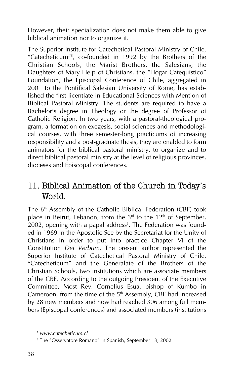However, their specialization does not make them able to give biblical animation nor to organize it.

The Superior Institute for Catechetical Pastoral Ministry of Chile, "Catecheticum"5 , co-founded in 1992 by the Brothers of the Christian Schools, the Marist Brothers, the Salesians, the Daughters of Mary Help of Christians, the "Hogar Catequístico" Foundation, the Episcopal Conference of Chile, aggregated in 2001 to the Pontifical Salesian University of Rome, has established the first licentiate in Educational Sciences with Mention of Biblical Pastoral Ministry. The students are required to have a Bachelor's degree in Theology or the degree of Professor of Catholic Religion. In two years, with a pastoral-theological program, a formation on exegesis, social sciences and methodological courses, with three semester-long practicums of increasing responsibility and a post-graduate thesis, they are enabled to form animators for the biblical pastoral ministry, to organize and to direct biblical pastoral ministry at the level of religious provinces, dioceses and Episcopal conferences.

#### 11. Biblical Animation of the Church in Today's World.

The  $6<sup>th</sup>$  Assembly of the Catholic Biblical Federation (CBF) took place in Beirut, Lebanon, from the  $3<sup>rd</sup>$  to the  $12<sup>th</sup>$  of September, 2002, opening with a papal address<sup>s</sup>. The Federation was founded in 1969 in the Apostolic See by the Secretariat for the Unity of Christians in order to put into practice Chapter VI of the Constitution *Dei Verbum*. The present author represented the Superior Institute of Catechetical Pastoral Ministry of Chile, "Catecheticum" and the Generalate of the Brothers of the Christian Schools, two institutions which are associate members of the CBF. According to the outgoing President of the Executive Committee, Most Rev. Cornelius Esua, bishop of Kumbo in Cameroon, from the time of the 5<sup>th</sup> Assembly, CBF had increased by 28 new members and now had reached 306 among full members (Episcopal conferences) and associated members (institutions

<sup>5</sup> *www.catecheticum.cl*

<sup>6</sup> The "Osservatore Romano" in Spanish, September 13, 2002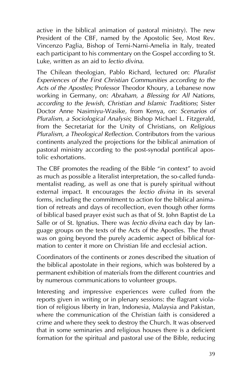active in the biblical animation of pastoral ministry). The new President of the CBF, named by the Apostolic See, Most Rev. Vincenzo Paglia, Bishop of Terni-Narni-Amelia in Italy, treated each participant to his commentary on the Gospel according to St. Luke, written as an aid to *lectio divina*.

The Chilean theologian, Pablo Richard, lectured on: *Pluralist Experiences of the First Christian Communities according to the Acts of the Apostles*; Professor Theodor Khoury, a Lebanese now working in Germany, on: *Abraham, a Blessing for All Nations, according to the Jewish, Christian and Islamic Traditions*; Sister Doctor Anne Nasimiyu-Wasike, from Kenya, on: *Scenarios of Pluralism, a Sociological Analysis*; Bishop Michael L. Fitzgerald, from the Secretariat for the Unity of Christians, on *Religious Pluralism, a Theological Reflection*. Contributors from the various continents analyzed the projections for the biblical animation of pastoral ministry according to the post-synodal pontifical apostolic exhortations.

The CBF promotes the reading of the Bible "in context" to avoid as much as possible a literalist interpretation, the so-called fundamentalist reading, as well as one that is purely spiritual without external impact. It encourages the *lectio divina* in its several forms, including the commitment to action for the biblical animation of retreats and days of recollection, even though other forms of biblical based prayer exist such as that of St. John Baptist de La Salle or of St. Ignatius. There was *lectio divina* each day by language groups on the texts of the Acts of the Apostles. The thrust was on going beyond the purely academic aspect of biblical formation to center it more on Christian life and ecclesial action.

Coordinators of the continents or zones described the situation of the biblical apostolate in their regions, which was bolstered by a permanent exhibition of materials from the different countries and by numerous communications to volunteer groups.

Interesting and impressive experiences were culled from the reports given in writing or in plenary sessions: the flagrant violation of religious liberty in Iran, Indonesia, Malaysia and Pakistan, where the communication of the Christian faith is considered a crime and where they seek to destroy the Church. It was observed that in some seminaries and religious houses there is a deficient formation for the spiritual and pastoral use of the Bible, reducing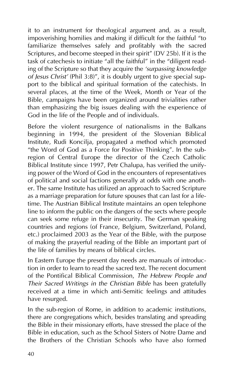it to an instrument for theological argument and, as a result, impoverishing homilies and making if difficult for the faithful "to familiarize themselves safely and profitably with the sacred Scriptures, and become steeped in their spirit" (DV 25b). If it is the task of catechesis to initiate "all the faithful" in the "diligent reading of the Scripture so that they acquire the *'surpassing knowledge of Jesus Christ'* (Phil 3:8)", it is doubly urgent to give special support to the biblical and spiritual formation of the catechists. In several places, at the time of the Week, Month or Year of the Bible, campaigns have been organized around trivialities rather than emphasizing the big issues dealing with the experience of God in the life of the People and of individuals.

Before the violent resurgence of nationalisms in the Balkans beginning in 1994, the president of the Slovenian Biblical Institute, Rudi Koncilja, propagated a method which promoted "the Word of God as a Force for Positive Thinking". In the subregion of Central Europe the director of the Czech Catholic Biblical Institute since 1997, Petr Chalupa, has verified the unifying power of the Word of God in the encounters of representatives of political and social factions generally at odds with one another. The same Institute has utilized an approach to Sacred Scripture as a marriage preparation for future spouses that can last for a lifetime. The Austrian Biblical Institute maintains an open telephone line to inform the public on the dangers of the sects where people can seek some refuge in their insecurity. The German speaking countries and regions (of France, Belgium, Switzerland, Poland, etc.) proclaimed 2003 as the Year of the Bible, with the purpose of making the prayerful reading of the Bible an important part of the life of families by means of biblical circles.

In Eastern Europe the present day needs are manuals of introduction in order to learn to read the sacred text. The recent document of the Pontifical Biblical Commission, *The Hebrew People and Their Sacred Writings in the Christian Bible* has been gratefully received at a time in which anti-Semitic feelings and attitudes have resurged.

In the sub-region of Rome, in addition to academic institutions, there are congregations which, besides translating and spreading the Bible in their missionary efforts, have stressed the place of the Bible in education, such as the School Sisters of Notre Dame and the Brothers of the Christian Schools who have also formed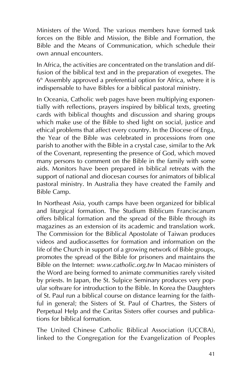Ministers of the Word. The various members have formed task forces on the Bible and Mission, the Bible and Formation, the Bible and the Means of Communication, which schedule their own annual encounters.

In Africa, the activities are concentrated on the translation and diffusion of the biblical text and in the preparation of exegetes. The  $6<sup>th</sup>$  Assembly approved a preferential option for Africa, where it is indispensable to have Bibles for a biblical pastoral ministry.

In Oceania, Catholic web pages have been multiplying exponentially with reflections, prayers inspired by biblical texts, greeting cards with biblical thoughts and discussion and sharing groups which make use of the Bible to shed light on social, justice and ethical problems that affect every country. In the Diocese of Enga, the Year of the Bible was celebrated in processions from one parish to another with the Bible in a crystal case, similar to the Ark of the Covenant, representing the presence of God, which moved many persons to comment on the Bible in the family with some aids. Monitors have been prepared in biblical retreats with the support of national and diocesan courses for animators of biblical pastoral ministry. In Australia they have created the Family and Bible Camp.

In Northeast Asia, youth camps have been organized for biblical and liturgical formation. The Studium Biblicum Franciscanum offers biblical formation and the spread of the Bible through its magazines as an extension of its academic and translation work. The Commission for the Biblical Apostolate of Taiwan produces videos and audiocassettes for formation and information on the life of the Church in support of a growing network of Bible groups, promotes the spread of the Bible for prisoners and maintains the Bible on the Internet: *www.catholic.org.tw* In Macao ministers of the Word are being formed to animate communities rarely visited by priests. In Japan, the St. Sulpice Seminary produces very popular software for introduction to the Bible. In Korea the Daughters of St. Paul run a biblical course on distance learning for the faithful in general; the Sisters of St. Paul of Chartres, the Sisters of Perpetual Help and the Caritas Sisters offer courses and publications for biblical formation.

The United Chinese Catholic Biblical Association (UCCBA), linked to the Congregation for the Evangelization of Peoples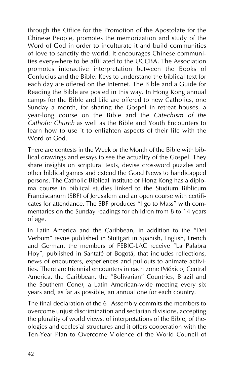through the Office for the Promotion of the Apostolate for the Chinese People, promotes the memorization and study of the Word of God in order to inculturate it and build communities of love to sanctify the world. It encourages Chinese communities everywhere to be affiliated to the UCCBA. The Association promotes interactive interpretation between the Books of Confucius and the Bible. Keys to understand the biblical text for each day are offered on the Internet. The Bible and a Guide for Reading the Bible are posted in this way. In Hong Kong annual camps for the Bible and Life are offered to new Catholics, one Sunday a month, for sharing the Gospel in retreat houses, a year-long course on the Bible and the *Catechism of the Catholic Church* as well as the Bible and Youth Encounters to learn how to use it to enlighten aspects of their life with the Word of God.

There are contests in the Week or the Month of the Bible with biblical drawings and essays to see the actuality of the Gospel. They share insights on scriptural texts, devise crossword puzzles and other biblical games and extend the Good News to handicapped persons. The Catholic Biblical Institute of Hong Kong has a diploma course in biblical studies linked to the Studium Biblicum Franciscanum (SBF) of Jerusalem and an open course with certificates for attendance. The SBF produces "I go to Mass" with commentaries on the Sunday readings for children from 8 to 14 years of age.

In Latin America and the Caribbean, in addition to the "Dei Verbum" revue published in Stuttgart in Spanish, English, French and German, the members of FEBIC-LAC receive "La Palabra Hoy", published in Santafé of Bogotá, that includes reflections, news of encounters, experiences and pullouts to animate activities. There are triennial encounters in each zone (México, Central America, the Caribbean, the "Bolivarian" Countries, Brazil and the Southern Cone), a Latin American-wide meeting every six years and, as far as possible, an annual one for each country.

The final declaration of the  $6<sup>th</sup>$  Assembly commits the members to overcome unjust discrimination and sectarian divisions, accepting the plurality of world views, of interpretations of the Bible, of theologies and ecclesial structures and it offers cooperation with the Ten-Year Plan to Overcome Violence of the World Council of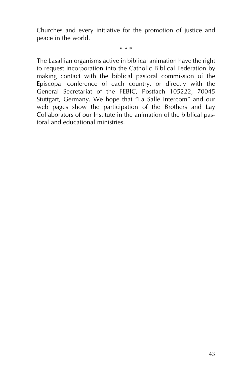Churches and every initiative for the promotion of justice and peace in the world.

\* \* \*

The Lasallian organisms active in biblical animation have the right to request incorporation into the Catholic Biblical Federation by making contact with the biblical pastoral commission of the Episcopal conference of each country, or directly with the General Secretariat of the FEBIC, Postfach 105222, 70045 Stuttgart, Germany. We hope that "La Salle Intercom" and our web pages show the participation of the Brothers and Lay Collaborators of our Institute in the animation of the biblical pastoral and educational ministries.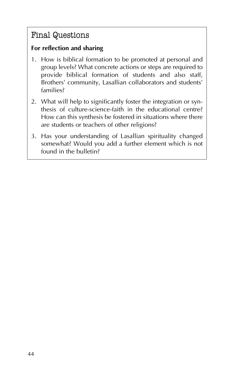#### Final Questions

#### **For reflection and sharing**

- 1. How is biblical formation to be promoted at personal and group levels? What concrete actions or steps are required to provide biblical formation of students and also staff, Brothers' community, Lasallian collaborators and students' families?
- 2. What will help to significantly foster the integration or synthesis of culture-science-faith in the educational centre? How can this synthesis be fostered in situations where there are students or teachers of other religions?
- 3. Has your understanding of Lasallian spirituality changed somewhat? Would you add a further element which is not found in the bulletin?